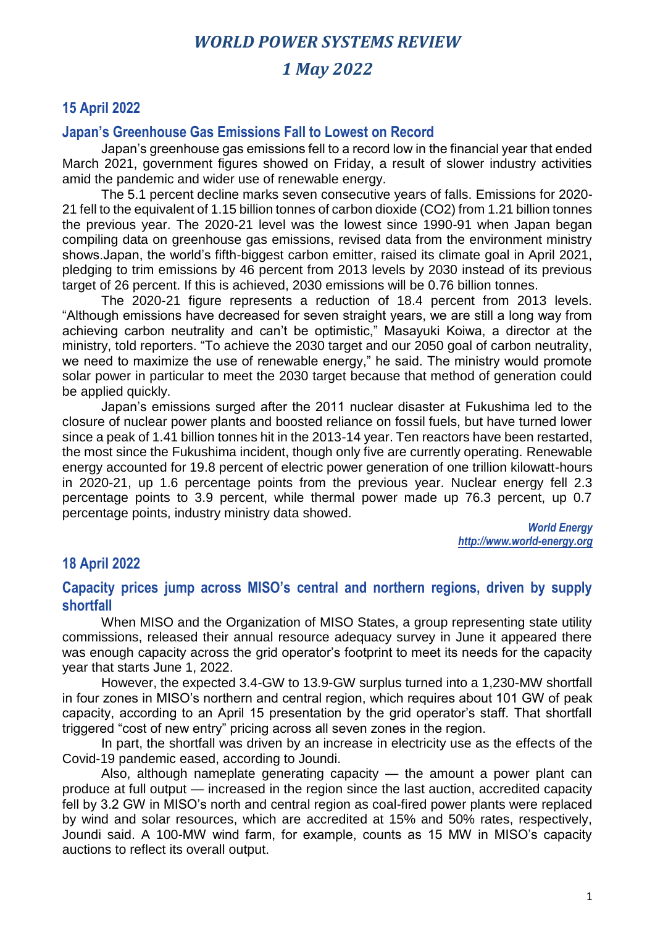## *1 May 2022*

### **15 April 2022**

#### **Japan's Greenhouse Gas Emissions Fall to Lowest on Record**

Japan's greenhouse gas emissions fell to a record low in the financial year that ended March 2021, government figures showed on Friday, a result of slower industry activities amid the pandemic and wider use of renewable energy.

The 5.1 percent decline marks seven consecutive years of falls. Emissions for 2020- 21 fell to the equivalent of 1.15 billion tonnes of carbon dioxide (CO2) from 1.21 billion tonnes the previous year. The 2020-21 level was the lowest since 1990-91 when Japan began compiling data on greenhouse gas emissions, revised data from the environment ministry shows.Japan, the world's fifth-biggest carbon emitter, raised its climate goal in April 2021, pledging to trim emissions by 46 percent from 2013 levels by 2030 instead of its previous target of 26 percent. If this is achieved, 2030 emissions will be 0.76 billion tonnes.

The 2020-21 figure represents a reduction of 18.4 percent from 2013 levels. "Although emissions have decreased for seven straight years, we are still a long way from achieving carbon neutrality and can't be optimistic," Masayuki Koiwa, a director at the ministry, told reporters. "To achieve the 2030 target and our 2050 goal of carbon neutrality, we need to maximize the use of renewable energy," he said. The ministry would promote solar power in particular to meet the 2030 target because that method of generation could be applied quickly.

Japan's emissions surged after the 2011 nuclear disaster at Fukushima led to the closure of nuclear power plants and boosted reliance on fossil fuels, but have turned lower since a peak of 1.41 billion tonnes hit in the 2013-14 year. Ten reactors have been restarted, the most since the Fukushima incident, though only five are currently operating. Renewable energy accounted for 19.8 percent of electric power generation of one trillion kilowatt-hours in 2020-21, up 1.6 percentage points from the previous year. Nuclear energy fell 2.3 percentage points to 3.9 percent, while thermal power made up 76.3 percent, up 0.7 percentage points, industry ministry data showed.

> *World Energy http://www.world-energy.org*

## **18 April 2022**

**Capacity prices jump across MISO's central and northern regions, driven by supply shortfall**

When MISO and the Organization of MISO States, a group representing state utility commissions, released their annual resource adequacy survey in June it appeared there was enough capacity across the grid operator's footprint to meet its needs for the capacity year that starts June 1, 2022.

However, the expected 3.4-GW to 13.9-GW surplus turned into a 1,230-MW shortfall in four zones in MISO's northern and central region, which requires about 101 GW of peak capacity, according to an April 15 presentation by the grid operator's staff. That shortfall triggered "cost of new entry" pricing across all seven zones in the region.

In part, the shortfall was driven by an increase in electricity use as the effects of the Covid-19 pandemic eased, according to Joundi.

Also, although nameplate generating capacity — the amount a power plant can produce at full output — increased in the region since the last auction, accredited capacity fell by 3.2 GW in MISO's north and central region as coal-fired power plants were replaced by wind and solar resources, which are accredited at 15% and 50% rates, respectively, Joundi said. A 100-MW wind farm, for example, counts as 15 MW in MISO's capacity auctions to reflect its overall output.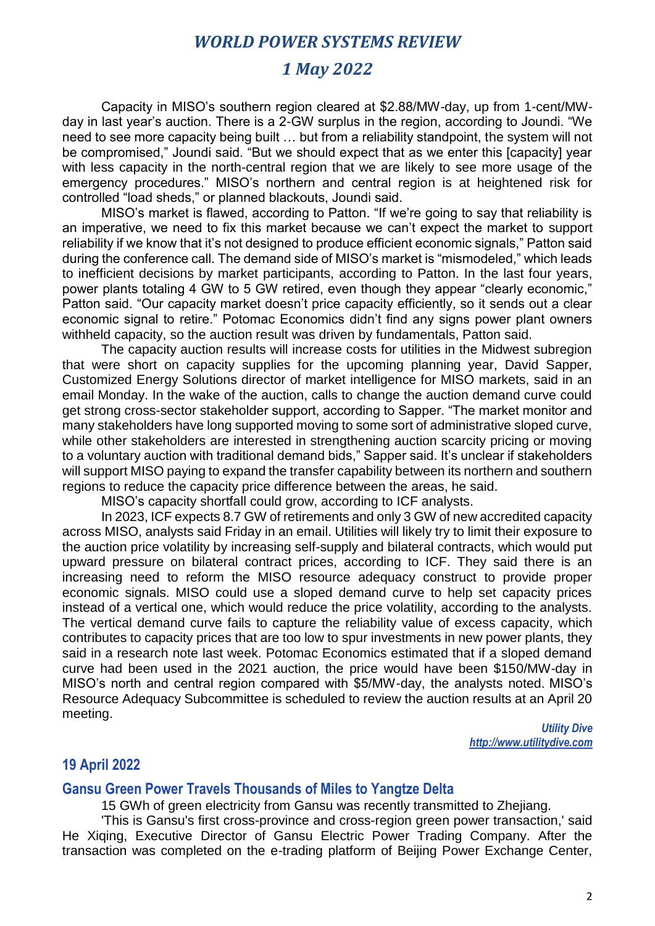## *1 May 2022*

Capacity in MISO's southern region cleared at \$2.88/MW-day, up from 1-cent/MWday in last year's auction. There is a 2-GW surplus in the region, according to Joundi. "We need to see more capacity being built … but from a reliability standpoint, the system will not be compromised," Joundi said. "But we should expect that as we enter this [capacity] year with less capacity in the north-central region that we are likely to see more usage of the emergency procedures." MISO's northern and central region is at heightened risk for controlled "load sheds," or planned blackouts, Joundi said.

MISO's market is flawed, according to Patton. "If we're going to say that reliability is an imperative, we need to fix this market because we can't expect the market to support reliability if we know that it's not designed to produce efficient economic signals," Patton said during the conference call. The demand side of MISO's market is "mismodeled," which leads to inefficient decisions by market participants, according to Patton. In the last four years, power plants totaling 4 GW to 5 GW retired, even though they appear "clearly economic," Patton said. "Our capacity market doesn't price capacity efficiently, so it sends out a clear economic signal to retire." Potomac Economics didn't find any signs power plant owners withheld capacity, so the auction result was driven by fundamentals, Patton said.

The capacity auction results will increase costs for utilities in the Midwest subregion that were short on capacity supplies for the upcoming planning year, David Sapper, Customized Energy Solutions director of market intelligence for MISO markets, said in an email Monday. In the wake of the auction, calls to change the auction demand curve could get strong cross-sector stakeholder support, according to Sapper. "The market monitor and many stakeholders have long supported moving to some sort of administrative sloped curve, while other stakeholders are interested in strengthening auction scarcity pricing or moving to a voluntary auction with traditional demand bids," Sapper said. It's unclear if stakeholders will support MISO paying to expand the transfer capability between its northern and southern regions to reduce the capacity price difference between the areas, he said.

MISO's capacity shortfall could grow, according to ICF analysts.

In 2023, ICF expects 8.7 GW of retirements and only 3 GW of new accredited capacity across MISO, analysts said Friday in an email. Utilities will likely try to limit their exposure to the auction price volatility by increasing self-supply and bilateral contracts, which would put upward pressure on bilateral contract prices, according to ICF. They said there is an increasing need to reform the MISO resource adequacy construct to provide proper economic signals. MISO could use a sloped demand curve to help set capacity prices instead of a vertical one, which would reduce the price volatility, according to the analysts. The vertical demand curve fails to capture the reliability value of excess capacity, which contributes to capacity prices that are too low to spur investments in new power plants, they said in a research note last week. Potomac Economics estimated that if a sloped demand curve had been used in the 2021 auction, the price would have been \$150/MW-day in MISO's north and central region compared with \$5/MW-day, the analysts noted. MISO's Resource Adequacy Subcommittee is scheduled to review the auction results at an April 20 meeting.

*Utility Dive http://www.utilitydive.com*

#### **19 April 2022**

#### **Gansu Green Power Travels Thousands of Miles to Yangtze Delta**

15 GWh of green electricity from Gansu was recently transmitted to Zhejiang.

'This is Gansu's first cross-province and cross-region green power transaction,' said He Xiqing, Executive Director of Gansu Electric Power Trading Company. After the transaction was completed on the e-trading platform of Beijing Power Exchange Center,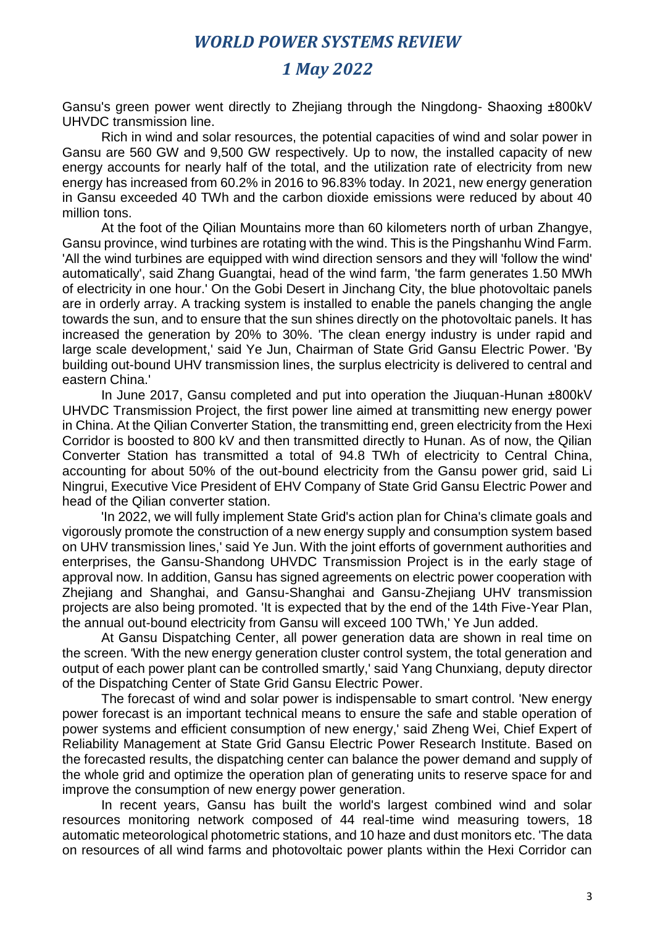# *1 May 2022*

Gansu's green power went directly to Zhejiang through the Ningdong- Shaoxing ±800kV UHVDC transmission line.

Rich in wind and solar resources, the potential capacities of wind and solar power in Gansu are 560 GW and 9,500 GW respectively. Up to now, the installed capacity of new energy accounts for nearly half of the total, and the utilization rate of electricity from new energy has increased from 60.2% in 2016 to 96.83% today. In 2021, new energy generation in Gansu exceeded 40 TWh and the carbon dioxide emissions were reduced by about 40 million tons.

At the foot of the Qilian Mountains more than 60 kilometers north of urban Zhangye, Gansu province, wind turbines are rotating with the wind. This is the Pingshanhu Wind Farm. 'All the wind turbines are equipped with wind direction sensors and they will 'follow the wind' automatically', said Zhang Guangtai, head of the wind farm, 'the farm generates 1.50 MWh of electricity in one hour.' On the Gobi Desert in Jinchang City, the blue photovoltaic panels are in orderly array. A tracking system is installed to enable the panels changing the angle towards the sun, and to ensure that the sun shines directly on the photovoltaic panels. It has increased the generation by 20% to 30%. 'The clean energy industry is under rapid and large scale development,' said Ye Jun, Chairman of State Grid Gansu Electric Power. 'By building out-bound UHV transmission lines, the surplus electricity is delivered to central and eastern China.'

In June 2017, Gansu completed and put into operation the Jiuquan-Hunan ±800kV UHVDC Transmission Project, the first power line aimed at transmitting new energy power in China. At the Qilian Converter Station, the transmitting end, green electricity from the Hexi Corridor is boosted to 800 kV and then transmitted directly to Hunan. As of now, the Qilian Converter Station has transmitted a total of 94.8 TWh of electricity to Central China, accounting for about 50% of the out-bound electricity from the Gansu power grid, said Li Ningrui, Executive Vice President of EHV Company of State Grid Gansu Electric Power and head of the Qilian converter station.

'In 2022, we will fully implement State Grid's action plan for China's climate goals and vigorously promote the construction of a new energy supply and consumption system based on UHV transmission lines,' said Ye Jun. With the joint efforts of government authorities and enterprises, the Gansu-Shandong UHVDC Transmission Project is in the early stage of approval now. In addition, Gansu has signed agreements on electric power cooperation with Zhejiang and Shanghai, and Gansu-Shanghai and Gansu-Zhejiang UHV transmission projects are also being promoted. 'It is expected that by the end of the 14th Five-Year Plan, the annual out-bound electricity from Gansu will exceed 100 TWh,' Ye Jun added.

At Gansu Dispatching Center, all power generation data are shown in real time on the screen. 'With the new energy generation cluster control system, the total generation and output of each power plant can be controlled smartly,' said Yang Chunxiang, deputy director of the Dispatching Center of State Grid Gansu Electric Power.

The forecast of wind and solar power is indispensable to smart control. 'New energy power forecast is an important technical means to ensure the safe and stable operation of power systems and efficient consumption of new energy,' said Zheng Wei, Chief Expert of Reliability Management at State Grid Gansu Electric Power Research Institute. Based on the forecasted results, the dispatching center can balance the power demand and supply of the whole grid and optimize the operation plan of generating units to reserve space for and improve the consumption of new energy power generation.

In recent years, Gansu has built the world's largest combined wind and solar resources monitoring network composed of 44 real-time wind measuring towers, 18 automatic meteorological photometric stations, and 10 haze and dust monitors etc. 'The data on resources of all wind farms and photovoltaic power plants within the Hexi Corridor can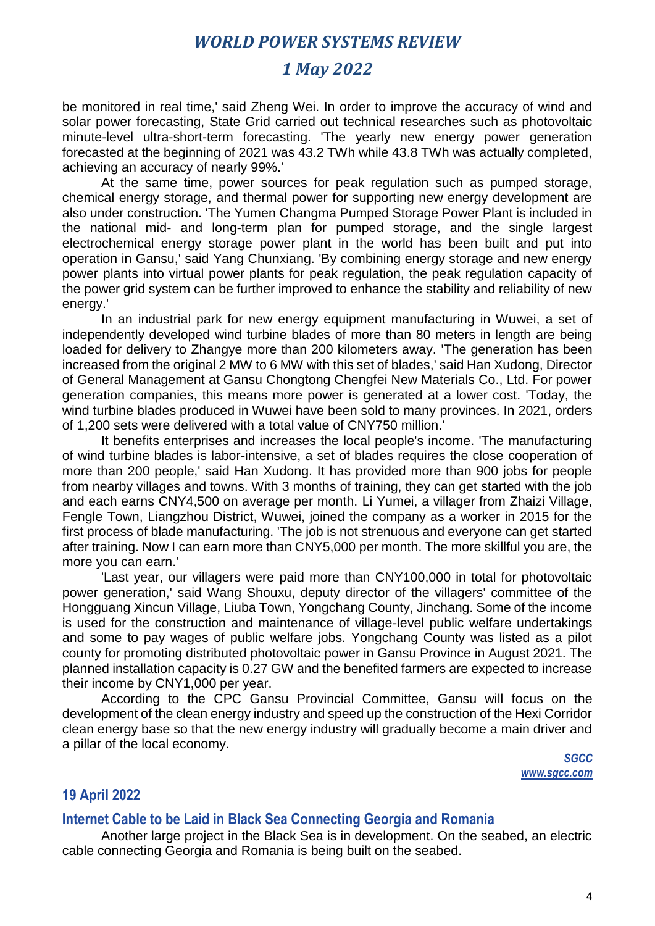## *1 May 2022*

be monitored in real time,' said Zheng Wei. In order to improve the accuracy of wind and solar power forecasting, State Grid carried out technical researches such as photovoltaic minute-level ultra-short-term forecasting. 'The yearly new energy power generation forecasted at the beginning of 2021 was 43.2 TWh while 43.8 TWh was actually completed, achieving an accuracy of nearly 99%.'

At the same time, power sources for peak regulation such as pumped storage, chemical energy storage, and thermal power for supporting new energy development are also under construction. 'The Yumen Changma Pumped Storage Power Plant is included in the national mid- and long-term plan for pumped storage, and the single largest electrochemical energy storage power plant in the world has been built and put into operation in Gansu,' said Yang Chunxiang. 'By combining energy storage and new energy power plants into virtual power plants for peak regulation, the peak regulation capacity of the power grid system can be further improved to enhance the stability and reliability of new energy.'

In an industrial park for new energy equipment manufacturing in Wuwei, a set of independently developed wind turbine blades of more than 80 meters in length are being loaded for delivery to Zhangye more than 200 kilometers away. 'The generation has been increased from the original 2 MW to 6 MW with this set of blades,' said Han Xudong, Director of General Management at Gansu Chongtong Chengfei New Materials Co., Ltd. For power generation companies, this means more power is generated at a lower cost. 'Today, the wind turbine blades produced in Wuwei have been sold to many provinces. In 2021, orders of 1,200 sets were delivered with a total value of CNY750 million.'

It benefits enterprises and increases the local people's income. 'The manufacturing of wind turbine blades is labor-intensive, a set of blades requires the close cooperation of more than 200 people,' said Han Xudong. It has provided more than 900 jobs for people from nearby villages and towns. With 3 months of training, they can get started with the job and each earns CNY4,500 on average per month. Li Yumei, a villager from Zhaizi Village, Fengle Town, Liangzhou District, Wuwei, joined the company as a worker in 2015 for the first process of blade manufacturing. 'The job is not strenuous and everyone can get started after training. Now I can earn more than CNY5,000 per month. The more skillful you are, the more you can earn.'

'Last year, our villagers were paid more than CNY100,000 in total for photovoltaic power generation,' said Wang Shouxu, deputy director of the villagers' committee of the Hongguang Xincun Village, Liuba Town, Yongchang County, Jinchang. Some of the income is used for the construction and maintenance of village-level public welfare undertakings and some to pay wages of public welfare jobs. Yongchang County was listed as a pilot county for promoting distributed photovoltaic power in Gansu Province in August 2021. The planned installation capacity is 0.27 GW and the benefited farmers are expected to increase their income by CNY1,000 per year.

According to the CPC Gansu Provincial Committee, Gansu will focus on the development of the clean energy industry and speed up the construction of the Hexi Corridor clean energy base so that the new energy industry will gradually become a main driver and a pillar of the local economy.

> *SGCC www.sgcc.com*

## **19 April 2022**

#### **Internet Cable to be Laid in Black Sea Connecting Georgia and Romania**

Another large project in the Black Sea is in development. On the seabed, an electric cable connecting Georgia and Romania is being built on the seabed.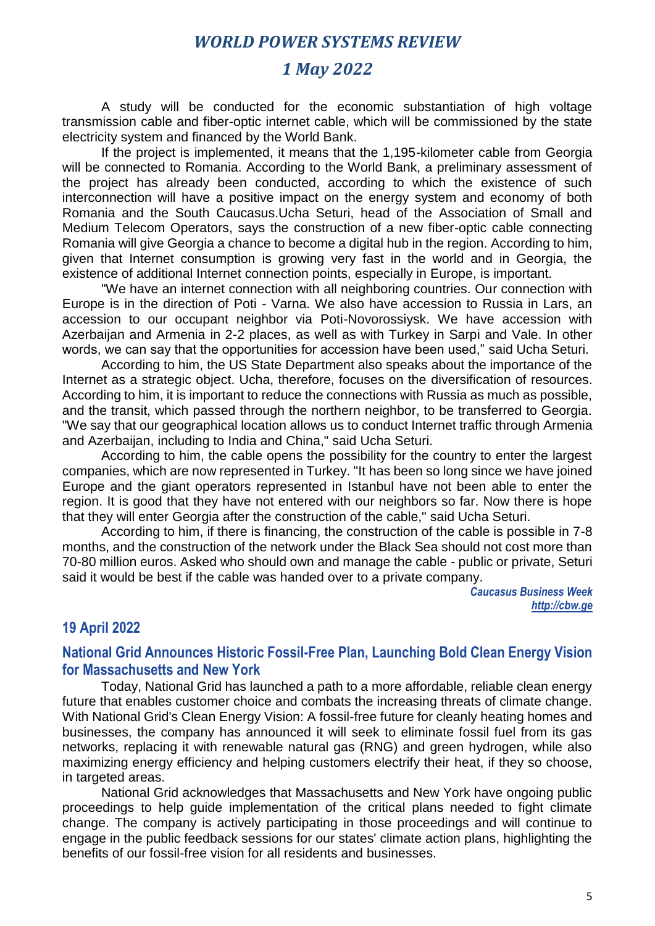## *1 May 2022*

A study will be conducted for the economic substantiation of high voltage transmission cable and fiber-optic internet cable, which will be commissioned by the state electricity system and financed by the World Bank.

If the project is implemented, it means that the 1,195-kilometer cable from Georgia will be connected to Romania. According to the World Bank, a preliminary assessment of the project has already been conducted, according to which the existence of such interconnection will have a positive impact on the energy system and economy of both Romania and the South Caucasus.Ucha Seturi, head of the Association of Small and Medium Telecom Operators, says the construction of a new fiber-optic cable connecting Romania will give Georgia a chance to become a digital hub in the region. According to him, given that Internet consumption is growing very fast in the world and in Georgia, the existence of additional Internet connection points, especially in Europe, is important.

"We have an internet connection with all neighboring countries. Our connection with Europe is in the direction of Poti - Varna. We also have accession to Russia in Lars, an accession to our occupant neighbor via Poti-Novorossiysk. We have accession with Azerbaijan and Armenia in 2-2 places, as well as with Turkey in Sarpi and Vale. In other words, we can say that the opportunities for accession have been used," said Ucha Seturi.

According to him, the US State Department also speaks about the importance of the Internet as a strategic object. Ucha, therefore, focuses on the diversification of resources. According to him, it is important to reduce the connections with Russia as much as possible, and the transit, which passed through the northern neighbor, to be transferred to Georgia. "We say that our geographical location allows us to conduct Internet traffic through Armenia and Azerbaijan, including to India and China," said Ucha Seturi.

According to him, the cable opens the possibility for the country to enter the largest companies, which are now represented in Turkey. "It has been so long since we have joined Europe and the giant operators represented in Istanbul have not been able to enter the region. It is good that they have not entered with our neighbors so far. Now there is hope that they will enter Georgia after the construction of the cable," said Ucha Seturi.

According to him, if there is financing, the construction of the cable is possible in 7-8 months, and the construction of the network under the Black Sea should not cost more than 70-80 million euros. Asked who should own and manage the cable - public or private, Seturi said it would be best if the cable was handed over to a private company.

> *Caucasus Business Week http://cbw.ge*

#### **19 April 2022**

## **National Grid Announces Historic Fossil-Free Plan, Launching Bold Clean Energy Vision for Massachusetts and New York**

Today, National Grid has launched a path to a more affordable, reliable clean energy future that enables customer choice and combats the increasing threats of climate change. With National Grid's Clean Energy Vision: A fossil-free future for cleanly heating homes and businesses, the company has announced it will seek to eliminate fossil fuel from its gas networks, replacing it with renewable natural gas (RNG) and green hydrogen, while also maximizing energy efficiency and helping customers electrify their heat, if they so choose, in targeted areas.

National Grid acknowledges that Massachusetts and New York have ongoing public proceedings to help guide implementation of the critical plans needed to fight climate change. The company is actively participating in those proceedings and will continue to engage in the public feedback sessions for our states' climate action plans, highlighting the benefits of our fossil-free vision for all residents and businesses.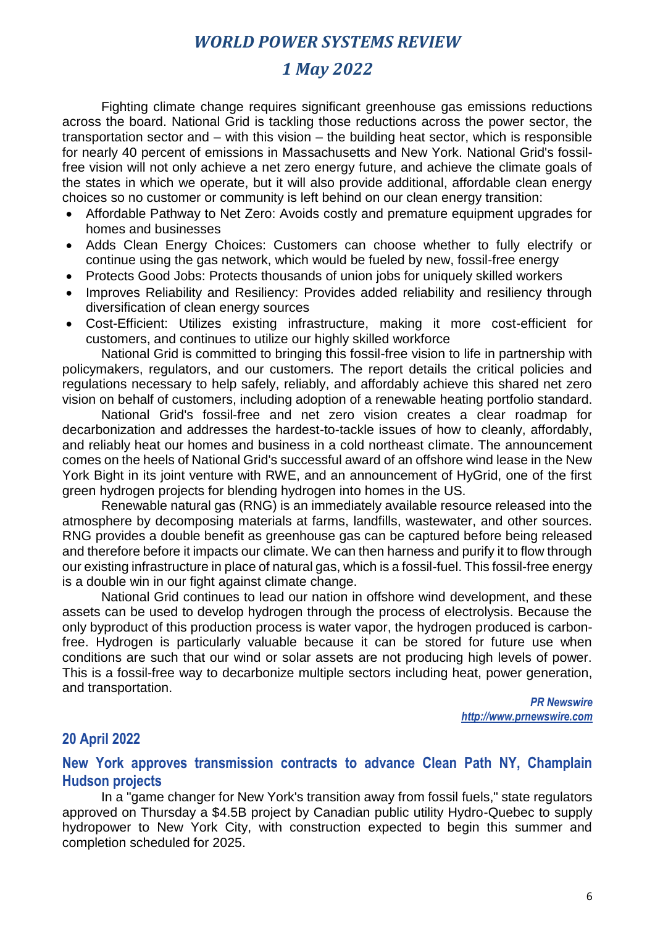# *1 May 2022*

Fighting climate change requires significant greenhouse gas emissions reductions across the board. National Grid is tackling those reductions across the power sector, the transportation sector and – with this vision – the building heat sector, which is responsible for nearly 40 percent of emissions in Massachusetts and New York. National Grid's fossilfree vision will not only achieve a net zero energy future, and achieve the climate goals of the states in which we operate, but it will also provide additional, affordable clean energy choices so no customer or community is left behind on our clean energy transition:

- Affordable Pathway to Net Zero: Avoids costly and premature equipment upgrades for homes and businesses
- Adds Clean Energy Choices: Customers can choose whether to fully electrify or continue using the gas network, which would be fueled by new, fossil-free energy
- Protects Good Jobs: Protects thousands of union jobs for uniquely skilled workers
- Improves Reliability and Resiliency: Provides added reliability and resiliency through diversification of clean energy sources
- Cost-Efficient: Utilizes existing infrastructure, making it more cost-efficient for customers, and continues to utilize our highly skilled workforce

National Grid is committed to bringing this fossil-free vision to life in partnership with policymakers, regulators, and our customers. The report details the critical policies and regulations necessary to help safely, reliably, and affordably achieve this shared net zero vision on behalf of customers, including adoption of a renewable heating portfolio standard.

National Grid's fossil-free and net zero vision creates a clear roadmap for decarbonization and addresses the hardest-to-tackle issues of how to cleanly, affordably, and reliably heat our homes and business in a cold northeast climate. The announcement comes on the heels of National Grid's successful award of an offshore wind lease in the New York Bight in its joint venture with RWE, and an announcement of HyGrid, one of the first green hydrogen projects for blending hydrogen into homes in the US.

Renewable natural gas (RNG) is an immediately available resource released into the atmosphere by decomposing materials at farms, landfills, wastewater, and other sources. RNG provides a double benefit as greenhouse gas can be captured before being released and therefore before it impacts our climate. We can then harness and purify it to flow through our existing infrastructure in place of natural gas, which is a fossil-fuel. This fossil-free energy is a double win in our fight against climate change.

National Grid continues to lead our nation in offshore wind development, and these assets can be used to develop hydrogen through the process of electrolysis. Because the only byproduct of this production process is water vapor, the hydrogen produced is carbonfree. Hydrogen is particularly valuable because it can be stored for future use when conditions are such that our wind or solar assets are not producing high levels of power. This is a fossil-free way to decarbonize multiple sectors including heat, power generation, and transportation.

> *PR Newswire http://www.prnewswire.com*

## **20 April 2022**

#### **New York approves transmission contracts to advance Clean Path NY, Champlain Hudson projects**

In a "game changer for New York's transition away from fossil fuels," state regulators approved on Thursday a \$4.5B project by Canadian public utility Hydro-Quebec to supply hydropower to New York City, with construction expected to begin this summer and completion scheduled for 2025.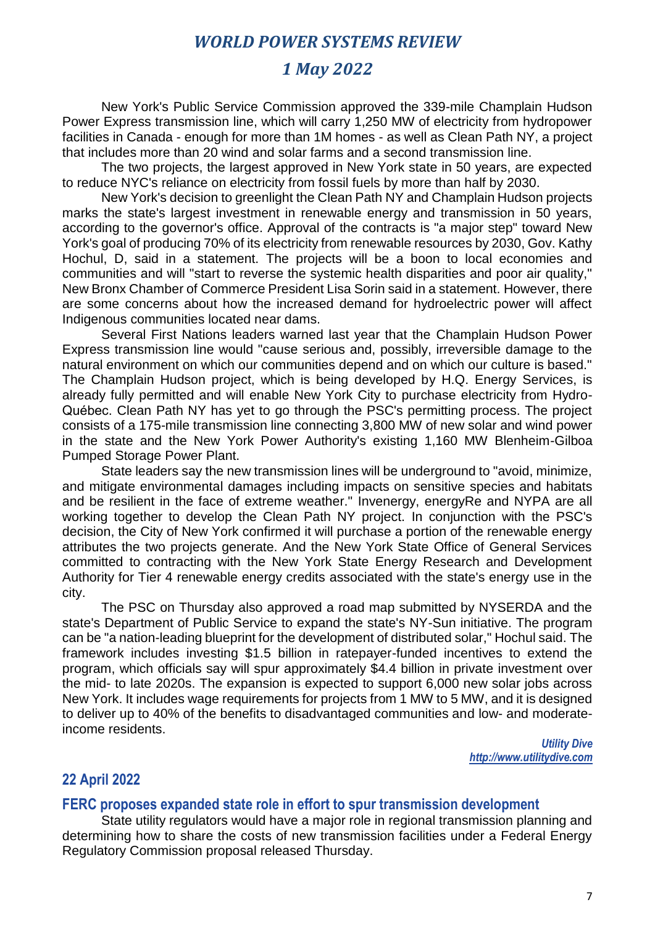## *1 May 2022*

New York's Public Service Commission approved the 339-mile Champlain Hudson Power Express transmission line, which will carry 1,250 MW of electricity from hydropower facilities in Canada - enough for more than 1M homes - as well as Clean Path NY, a project that includes more than 20 wind and solar farms and a second transmission line.

The two projects, the largest approved in New York state in 50 years, are expected to reduce NYC's reliance on electricity from fossil fuels by more than half by 2030.

New York's decision to greenlight the Clean Path NY and Champlain Hudson projects marks the state's largest investment in renewable energy and transmission in 50 years, according to the governor's office. Approval of the contracts is "a major step" toward New York's goal of producing 70% of its electricity from renewable resources by 2030, Gov. Kathy Hochul, D, said in a statement. The projects will be a boon to local economies and communities and will "start to reverse the systemic health disparities and poor air quality," New Bronx Chamber of Commerce President Lisa Sorin said in a statement. However, there are some concerns about how the increased demand for hydroelectric power will affect Indigenous communities located near dams.

Several First Nations leaders warned last year that the Champlain Hudson Power Express transmission line would "cause serious and, possibly, irreversible damage to the natural environment on which our communities depend and on which our culture is based." The Champlain Hudson project, which is being developed by H.Q. Energy Services, is already fully permitted and will enable New York City to purchase electricity from Hydro-Québec. Clean Path NY has yet to go through the PSC's permitting process. The project consists of a 175-mile transmission line connecting 3,800 MW of new solar and wind power in the state and the New York Power Authority's existing 1,160 MW Blenheim-Gilboa Pumped Storage Power Plant.

State leaders say the new transmission lines will be underground to "avoid, minimize, and mitigate environmental damages including impacts on sensitive species and habitats and be resilient in the face of extreme weather." Invenergy, energyRe and NYPA are all working together to develop the Clean Path NY project. In conjunction with the PSC's decision, the City of New York confirmed it will purchase a portion of the renewable energy attributes the two projects generate. And the New York State Office of General Services committed to contracting with the New York State Energy Research and Development Authority for Tier 4 renewable energy credits associated with the state's energy use in the city.

The PSC on Thursday also approved a road map submitted by NYSERDA and the state's Department of Public Service to expand the state's NY-Sun initiative. The program can be "a nation-leading blueprint for the development of distributed solar," Hochul said. The framework includes investing \$1.5 billion in ratepayer-funded incentives to extend the program, which officials say will spur approximately \$4.4 billion in private investment over the mid- to late 2020s. The expansion is expected to support 6,000 new solar jobs across New York. It includes wage requirements for projects from 1 MW to 5 MW, and it is designed to deliver up to 40% of the benefits to disadvantaged communities and low- and moderateincome residents.

> *Utility Dive http://www.utilitydive.com*

#### **22 April 2022**

#### **FERC proposes expanded state role in effort to spur transmission development**

State utility regulators would have a major role in regional transmission planning and determining how to share the costs of new transmission facilities under a Federal Energy Regulatory Commission proposal released Thursday.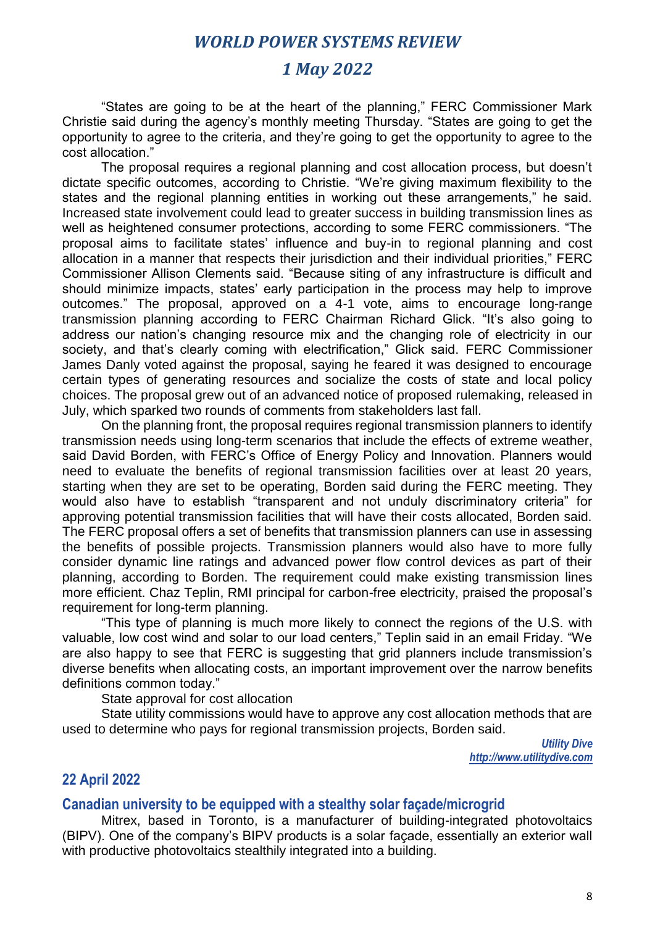# *1 May 2022*

"States are going to be at the heart of the planning," FERC Commissioner Mark Christie said during the agency's monthly meeting Thursday. "States are going to get the opportunity to agree to the criteria, and they're going to get the opportunity to agree to the cost allocation."

The proposal requires a regional planning and cost allocation process, but doesn't dictate specific outcomes, according to Christie. "We're giving maximum flexibility to the states and the regional planning entities in working out these arrangements," he said. Increased state involvement could lead to greater success in building transmission lines as well as heightened consumer protections, according to some FERC commissioners. "The proposal aims to facilitate states' influence and buy-in to regional planning and cost allocation in a manner that respects their jurisdiction and their individual priorities," FERC Commissioner Allison Clements said. "Because siting of any infrastructure is difficult and should minimize impacts, states' early participation in the process may help to improve outcomes." The proposal, approved on a 4-1 vote, aims to encourage long-range transmission planning according to FERC Chairman Richard Glick. "It's also going to address our nation's changing resource mix and the changing role of electricity in our society, and that's clearly coming with electrification," Glick said. FERC Commissioner James Danly voted against the proposal, saying he feared it was designed to encourage certain types of generating resources and socialize the costs of state and local policy choices. The proposal grew out of an advanced notice of proposed rulemaking, released in July, which sparked two rounds of comments from stakeholders last fall.

On the planning front, the proposal requires regional transmission planners to identify transmission needs using long-term scenarios that include the effects of extreme weather, said David Borden, with FERC's Office of Energy Policy and Innovation. Planners would need to evaluate the benefits of regional transmission facilities over at least 20 years, starting when they are set to be operating, Borden said during the FERC meeting. They would also have to establish "transparent and not unduly discriminatory criteria" for approving potential transmission facilities that will have their costs allocated, Borden said. The FERC proposal offers a set of benefits that transmission planners can use in assessing the benefits of possible projects. Transmission planners would also have to more fully consider dynamic line ratings and advanced power flow control devices as part of their planning, according to Borden. The requirement could make existing transmission lines more efficient. Chaz Teplin, RMI principal for carbon-free electricity, praised the proposal's requirement for long-term planning.

"This type of planning is much more likely to connect the regions of the U.S. with valuable, low cost wind and solar to our load centers," Teplin said in an email Friday. "We are also happy to see that FERC is suggesting that grid planners include transmission's diverse benefits when allocating costs, an important improvement over the narrow benefits definitions common today."

State approval for cost allocation

State utility commissions would have to approve any cost allocation methods that are used to determine who pays for regional transmission projects, Borden said.

> *Utility Dive http://www.utilitydive.com*

### **22 April 2022**

#### **Canadian university to be equipped with a stealthy solar façade/microgrid**

Mitrex, based in Toronto, is a manufacturer of building-integrated photovoltaics (BIPV). One of the company's BIPV products is a solar façade, essentially an exterior wall with productive photovoltaics stealthily integrated into a building.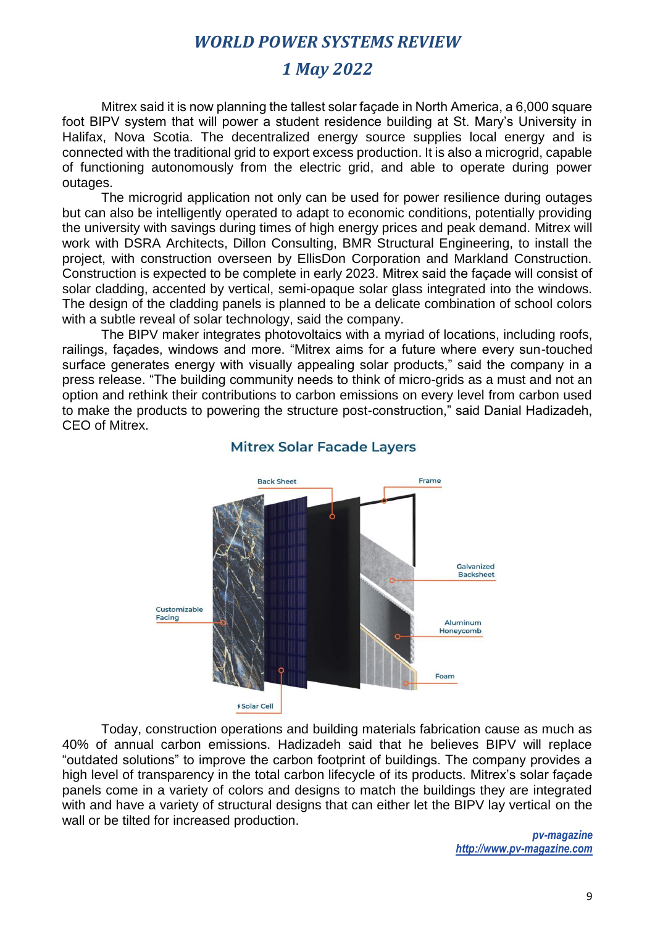# *1 May 2022*

Mitrex said it is now planning the tallest solar façade in North America, a 6,000 square foot BIPV system that will power a student residence building at St. Mary's University in Halifax, Nova Scotia. The decentralized energy source supplies local energy and is connected with the traditional grid to export excess production. It is also a microgrid, capable of functioning autonomously from the electric grid, and able to operate during power outages.

The microgrid application not only can be used for power resilience during outages but can also be intelligently operated to adapt to economic conditions, potentially providing the university with savings during times of high energy prices and peak demand. Mitrex will work with DSRA Architects, Dillon Consulting, BMR Structural Engineering, to install the project, with construction overseen by EllisDon Corporation and Markland Construction. Construction is expected to be complete in early 2023. Mitrex said the façade will consist of solar cladding, accented by vertical, semi-opaque solar glass integrated into the windows. The design of the cladding panels is planned to be a delicate combination of school colors with a subtle reveal of solar technology, said the company.

The BIPV maker integrates photovoltaics with a myriad of locations, including roofs, railings, façades, windows and more. "Mitrex aims for a future where every sun-touched surface generates energy with visually appealing solar products," said the company in a press release. "The building community needs to think of micro-grids as a must and not an option and rethink their contributions to carbon emissions on every level from carbon used to make the products to powering the structure post-construction," said Danial Hadizadeh, CEO of Mitrex.



## **Mitrex Solar Facade Layers**

Today, construction operations and building materials fabrication cause as much as 40% of annual carbon emissions. Hadizadeh said that he believes BIPV will replace "outdated solutions" to improve the carbon footprint of buildings. The company provides a high level of transparency in the total carbon lifecycle of its products. Mitrex's solar façade panels come in a variety of colors and designs to match the buildings they are integrated with and have a variety of structural designs that can either let the BIPV lay vertical on the wall or be tilted for increased production.

> *pv-magazine http://www.pv-magazine.com*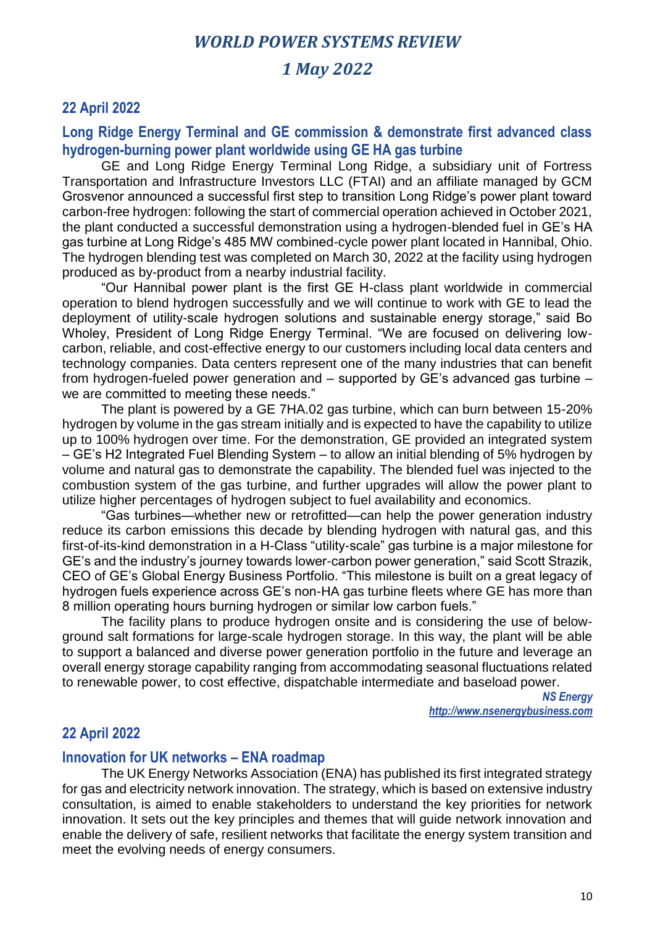## *1 May 2022*

### **22 April 2022**

### **Long Ridge Energy Terminal and GE commission & demonstrate first advanced class hydrogen-burning power plant worldwide using GE HA gas turbine**

GE and Long Ridge Energy Terminal Long Ridge, a subsidiary unit of Fortress Transportation and Infrastructure Investors LLC (FTAI) and an affiliate managed by GCM Grosvenor announced a successful first step to transition Long Ridge's power plant toward carbon-free hydrogen: following the start of commercial operation achieved in October 2021, the plant conducted a successful demonstration using a hydrogen-blended fuel in GE's HA gas turbine at Long Ridge's 485 MW combined-cycle power plant located in Hannibal, Ohio. The hydrogen blending test was completed on March 30, 2022 at the facility using hydrogen produced as by-product from a nearby industrial facility.

"Our Hannibal power plant is the first GE H-class plant worldwide in commercial operation to blend hydrogen successfully and we will continue to work with GE to lead the deployment of utility-scale hydrogen solutions and sustainable energy storage," said Bo Wholey, President of Long Ridge Energy Terminal. "We are focused on delivering lowcarbon, reliable, and cost-effective energy to our customers including local data centers and technology companies. Data centers represent one of the many industries that can benefit from hydrogen-fueled power generation and – supported by GE's advanced gas turbine – we are committed to meeting these needs."

The plant is powered by a GE 7HA.02 gas turbine, which can burn between 15-20% hydrogen by volume in the gas stream initially and is expected to have the capability to utilize up to 100% hydrogen over time. For the demonstration, GE provided an integrated system – GE's H2 Integrated Fuel Blending System – to allow an initial blending of 5% hydrogen by volume and natural gas to demonstrate the capability. The blended fuel was injected to the combustion system of the gas turbine, and further upgrades will allow the power plant to utilize higher percentages of hydrogen subject to fuel availability and economics.

"Gas turbines—whether new or retrofitted—can help the power generation industry reduce its carbon emissions this decade by blending hydrogen with natural gas, and this first-of-its-kind demonstration in a H-Class "utility-scale" gas turbine is a major milestone for GE's and the industry's journey towards lower-carbon power generation," said Scott Strazik, CEO of GE's Global Energy Business Portfolio. "This milestone is built on a great legacy of hydrogen fuels experience across GE's non-HA gas turbine fleets where GE has more than 8 million operating hours burning hydrogen or similar low carbon fuels."

The facility plans to produce hydrogen onsite and is considering the use of belowground salt formations for large-scale hydrogen storage. In this way, the plant will be able to support a balanced and diverse power generation portfolio in the future and leverage an overall energy storage capability ranging from accommodating seasonal fluctuations related to renewable power, to cost effective, dispatchable intermediate and baseload power.

> *NS Energy http://www.nsenergybusiness.com*

#### **22 April 2022**

#### **Innovation for UK networks – ENA roadmap**

The UK Energy Networks Association (ENA) has published its first integrated strategy for gas and electricity network innovation. The strategy, which is based on extensive industry consultation, is aimed to enable stakeholders to understand the key priorities for network innovation. It sets out the key principles and themes that will guide network innovation and enable the delivery of safe, resilient networks that facilitate the energy system transition and meet the evolving needs of energy consumers.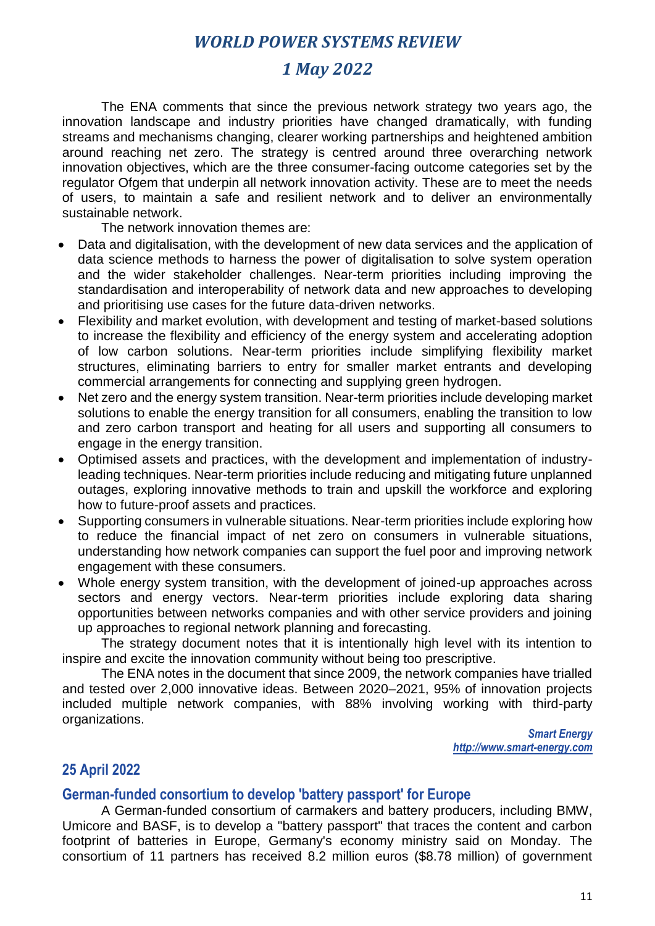# *1 May 2022*

The ENA comments that since the previous network strategy two years ago, the innovation landscape and industry priorities have changed dramatically, with funding streams and mechanisms changing, clearer working partnerships and heightened ambition around reaching net zero. The strategy is centred around three overarching network innovation objectives, which are the three consumer-facing outcome categories set by the regulator Ofgem that underpin all network innovation activity. These are to meet the needs of users, to maintain a safe and resilient network and to deliver an environmentally sustainable network.

The network innovation themes are:

- Data and digitalisation, with the development of new data services and the application of data science methods to harness the power of digitalisation to solve system operation and the wider stakeholder challenges. Near-term priorities including improving the standardisation and interoperability of network data and new approaches to developing and prioritising use cases for the future data-driven networks.
- Flexibility and market evolution, with development and testing of market-based solutions to increase the flexibility and efficiency of the energy system and accelerating adoption of low carbon solutions. Near-term priorities include simplifying flexibility market structures, eliminating barriers to entry for smaller market entrants and developing commercial arrangements for connecting and supplying green hydrogen.
- Net zero and the energy system transition. Near-term priorities include developing market solutions to enable the energy transition for all consumers, enabling the transition to low and zero carbon transport and heating for all users and supporting all consumers to engage in the energy transition.
- Optimised assets and practices, with the development and implementation of industryleading techniques. Near-term priorities include reducing and mitigating future unplanned outages, exploring innovative methods to train and upskill the workforce and exploring how to future-proof assets and practices.
- Supporting consumers in vulnerable situations. Near-term priorities include exploring how to reduce the financial impact of net zero on consumers in vulnerable situations, understanding how network companies can support the fuel poor and improving network engagement with these consumers.
- Whole energy system transition, with the development of joined-up approaches across sectors and energy vectors. Near-term priorities include exploring data sharing opportunities between networks companies and with other service providers and joining up approaches to regional network planning and forecasting.

The strategy document notes that it is intentionally high level with its intention to inspire and excite the innovation community without being too prescriptive.

The ENA notes in the document that since 2009, the network companies have trialled and tested over 2,000 innovative ideas. Between 2020–2021, 95% of innovation projects included multiple network companies, with 88% involving working with third-party organizations.

> *Smart Energy http://www.smart-energy.com*

## **25 April 2022**

## **German-funded consortium to develop 'battery passport' for Europe**

A German-funded consortium of carmakers and battery producers, including BMW, Umicore and BASF, is to develop a "battery passport" that traces the content and carbon footprint of batteries in Europe, Germany's economy ministry said on Monday. The consortium of 11 partners has received 8.2 million euros (\$8.78 million) of government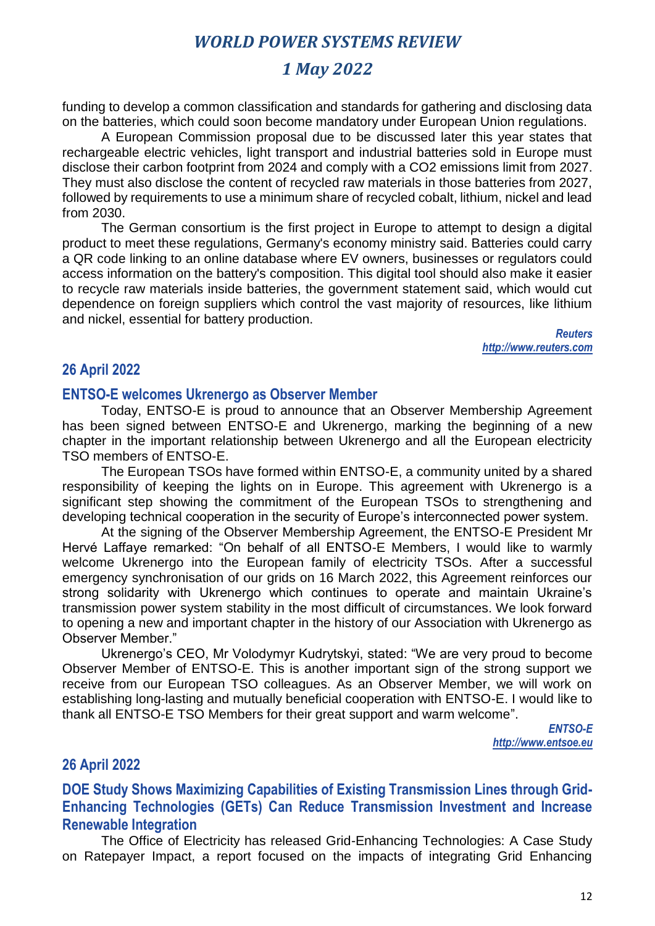# *1 May 2022*

funding to develop a common classification and standards for gathering and disclosing data on the batteries, which could soon become mandatory under European Union regulations.

A European Commission proposal due to be discussed later this year states that rechargeable electric vehicles, light transport and industrial batteries sold in Europe must disclose their carbon footprint from 2024 and comply with a CO2 emissions limit from 2027. They must also disclose the content of recycled raw materials in those batteries from 2027, followed by requirements to use a minimum share of recycled cobalt, lithium, nickel and lead from 2030.

The German consortium is the first project in Europe to attempt to design a digital product to meet these regulations, Germany's economy ministry said. Batteries could carry a QR code linking to an online database where EV owners, businesses or regulators could access information on the battery's composition. This digital tool should also make it easier to recycle raw materials inside batteries, the government statement said, which would cut dependence on foreign suppliers which control the vast majority of resources, like lithium and nickel, essential for battery production.

> *Reuters http://www.reuters.com*

### **26 April 2022**

#### **ENTSO-E welcomes Ukrenergo as Observer Member**

Today, ENTSO-E is proud to announce that an Observer Membership Agreement has been signed between ENTSO-E and Ukrenergo, marking the beginning of a new chapter in the important relationship between Ukrenergo and all the European electricity TSO members of ENTSO-E.

The European TSOs have formed within ENTSO-E, a community united by a shared responsibility of keeping the lights on in Europe. This agreement with Ukrenergo is a significant step showing the commitment of the European TSOs to strengthening and developing technical cooperation in the security of Europe's interconnected power system.

At the signing of the Observer Membership Agreement, the ENTSO-E President Mr Hervé Laffaye remarked: "On behalf of all ENTSO-E Members, I would like to warmly welcome Ukrenergo into the European family of electricity TSOs. After a successful emergency synchronisation of our grids on 16 March 2022, this Agreement reinforces our strong solidarity with Ukrenergo which continues to operate and maintain Ukraine's transmission power system stability in the most difficult of circumstances. We look forward to opening a new and important chapter in the history of our Association with Ukrenergo as Observer Member."

Ukrenergo's CEO, Mr Volodymyr Kudrytskyi, stated: "We are very proud to become Observer Member of ENTSO-E. This is another important sign of the strong support we receive from our European TSO colleagues. As an Observer Member, we will work on establishing long-lasting and mutually beneficial cooperation with ENTSO-E. I would like to thank all ENTSO-E TSO Members for their great support and warm welcome".

> *ENTSO-E http://www.entsoe.eu*

#### **26 April 2022**

**DOE Study Shows Maximizing Capabilities of Existing Transmission Lines through Grid-Enhancing Technologies (GETs) Can Reduce Transmission Investment and Increase Renewable Integration**

The Office of Electricity has released Grid-Enhancing Technologies: A Case Study on Ratepayer Impact, a report focused on the impacts of integrating Grid Enhancing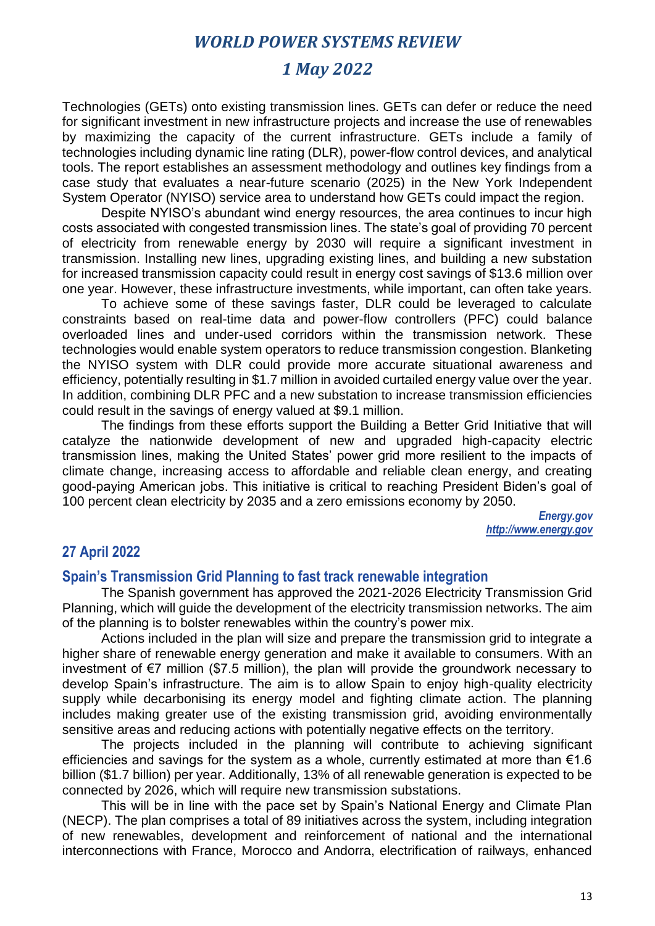# *1 May 2022*

Technologies (GETs) onto existing transmission lines. GETs can defer or reduce the need for significant investment in new infrastructure projects and increase the use of renewables by maximizing the capacity of the current infrastructure. GETs include a family of technologies including dynamic line rating (DLR), power-flow control devices, and analytical tools. The report establishes an assessment methodology and outlines key findings from a case study that evaluates a near-future scenario (2025) in the New York Independent System Operator (NYISO) service area to understand how GETs could impact the region.

Despite NYISO's abundant wind energy resources, the area continues to incur high costs associated with congested transmission lines. The state's goal of providing 70 percent of electricity from renewable energy by 2030 will require a significant investment in transmission. Installing new lines, upgrading existing lines, and building a new substation for increased transmission capacity could result in energy cost savings of \$13.6 million over one year. However, these infrastructure investments, while important, can often take years.

To achieve some of these savings faster, DLR could be leveraged to calculate constraints based on real-time data and power-flow controllers (PFC) could balance overloaded lines and under-used corridors within the transmission network. These technologies would enable system operators to reduce transmission congestion. Blanketing the NYISO system with DLR could provide more accurate situational awareness and efficiency, potentially resulting in \$1.7 million in avoided curtailed energy value over the year. In addition, combining DLR PFC and a new substation to increase transmission efficiencies could result in the savings of energy valued at \$9.1 million.

The findings from these efforts support the Building a Better Grid Initiative that will catalyze the nationwide development of new and upgraded high-capacity electric transmission lines, making the United States' power grid more resilient to the impacts of climate change, increasing access to affordable and reliable clean energy, and creating good-paying American jobs. This initiative is critical to reaching President Biden's goal of 100 percent clean electricity by 2035 and a zero emissions economy by 2050.

> *Energy.gov http://www.energy.gov*

## **27 April 2022**

#### **Spain's Transmission Grid Planning to fast track renewable integration**

The Spanish government has approved the 2021-2026 Electricity Transmission Grid Planning, which will guide the development of the electricity transmission networks. The aim of the planning is to bolster renewables within the country's power mix.

Actions included in the plan will size and prepare the transmission grid to integrate a higher share of renewable energy generation and make it available to consumers. With an investment of €7 million (\$7.5 million), the plan will provide the groundwork necessary to develop Spain's infrastructure. The aim is to allow Spain to enjoy high-quality electricity supply while decarbonising its energy model and fighting climate action. The planning includes making greater use of the existing transmission grid, avoiding environmentally sensitive areas and reducing actions with potentially negative effects on the territory.

The projects included in the planning will contribute to achieving significant efficiencies and savings for the system as a whole, currently estimated at more than  $61.6$ billion (\$1.7 billion) per year. Additionally, 13% of all renewable generation is expected to be connected by 2026, which will require new transmission substations.

This will be in line with the pace set by Spain's National Energy and Climate Plan (NECP). The plan comprises a total of 89 initiatives across the system, including integration of new renewables, development and reinforcement of national and the international interconnections with France, Morocco and Andorra, electrification of railways, enhanced